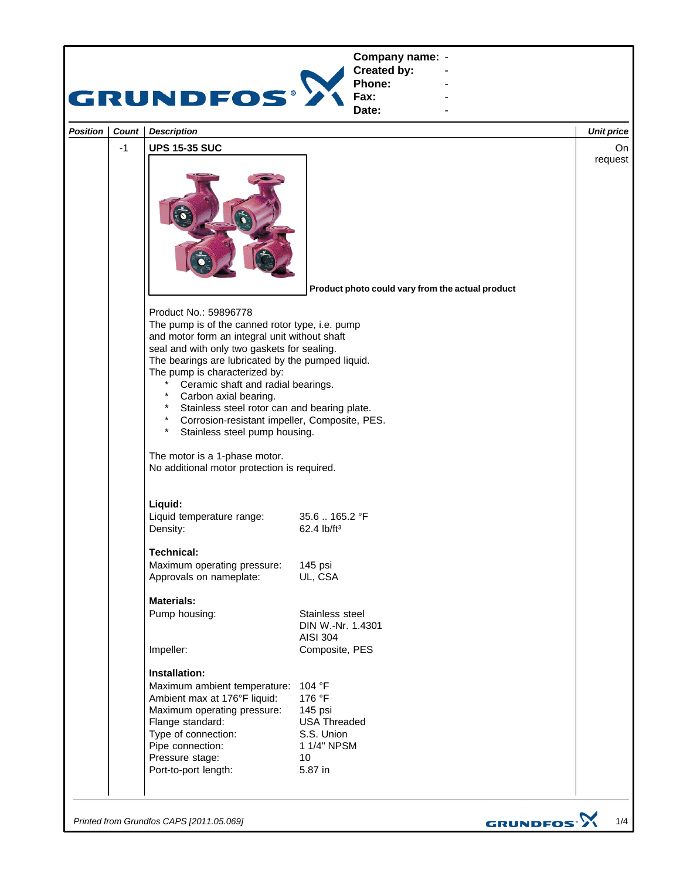

*Printed from Grundfos CAPS [2011.05.069]*

GRUNDFOS<sup>.</sup>>

1/4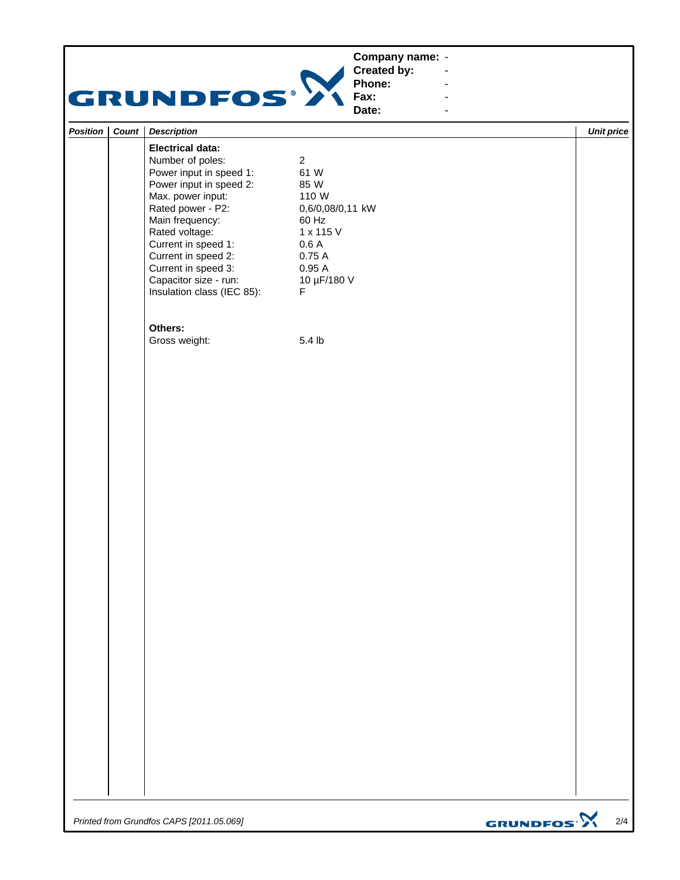## **Company name: -** Construction of the construction

## GRUNDFOS<sup>.</sup>

**Created by: Phone: Fax:**

**Date: -** Construction of the construction

**-** Construction of the construction **-** Construction of the construction **-** Construction of the construction

|  | <b>Position   Count   Description</b>                                                                                                                                                                                                                                                                        |                                                                                                                                           | Unit price |
|--|--------------------------------------------------------------------------------------------------------------------------------------------------------------------------------------------------------------------------------------------------------------------------------------------------------------|-------------------------------------------------------------------------------------------------------------------------------------------|------------|
|  | <b>Electrical data:</b><br>Number of poles:<br>Power input in speed 1:<br>Power input in speed 2:<br>Max. power input:<br>Rated power - P2:<br>Main frequency:<br>Rated voltage:<br>Current in speed 1:<br>Current in speed 2:<br>Current in speed 3:<br>Capacitor size - run:<br>Insulation class (IEC 85): | $\overline{c}$<br>61 W<br>85 W<br>110 W<br>0,6/0,08/0,11 kW<br>60 Hz<br>1 x 115 V<br>0.6A<br>0.75A<br>0.95A<br>10 µF/180 V<br>$\mathsf F$ |            |
|  | Others:<br>Gross weight:                                                                                                                                                                                                                                                                                     | 5.4 <sub>lb</sub>                                                                                                                         |            |
|  |                                                                                                                                                                                                                                                                                                              |                                                                                                                                           |            |

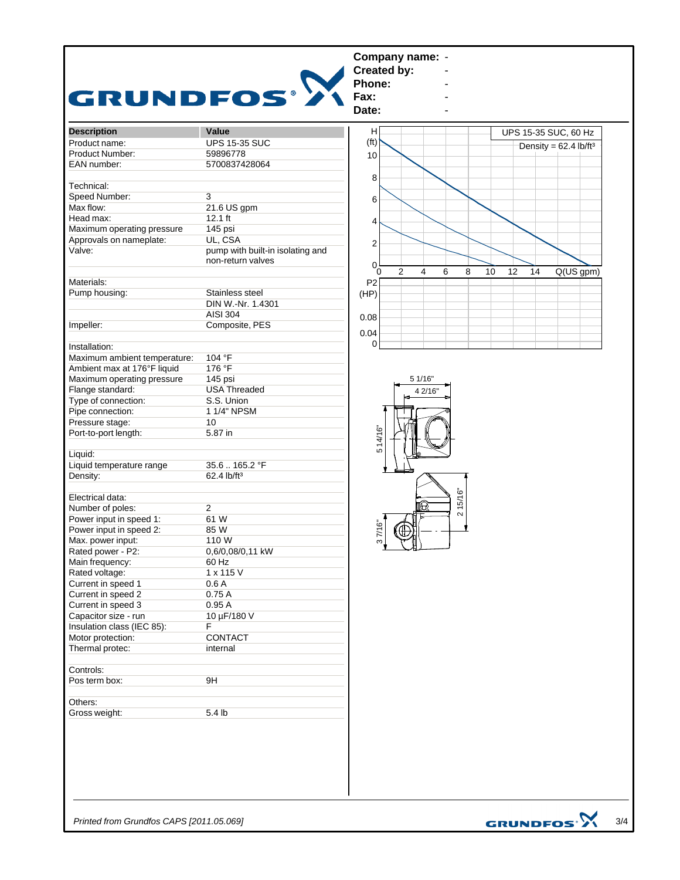| <b>Description</b>           | Value                                                 |
|------------------------------|-------------------------------------------------------|
| Product name:                | <b>UPS 15-35 SUC</b>                                  |
| Product Number:              | 59896778                                              |
| EAN number:                  | 5700837428064                                         |
|                              |                                                       |
| Technical:                   |                                                       |
| Speed Number:                | 3                                                     |
| Max flow:                    | 21.6 US gpm                                           |
| Head max:                    | $12.1$ ft                                             |
| Maximum operating pressure   | 145 psi                                               |
| Approvals on nameplate:      | UL, CSA                                               |
| Valve:                       | pump with built-in isolating and<br>non-return valves |
| Materials:                   |                                                       |
| Pump housing:                | Stainless steel                                       |
|                              | DIN W.-Nr. 1.4301                                     |
|                              | AISI 304                                              |
| Impeller:                    | Composite, PES                                        |
|                              |                                                       |
| Installation:                |                                                       |
| Maximum ambient temperature: | 104 °F                                                |
| Ambient max at 176°F liquid  | 176 °F                                                |
| Maximum operating pressure   | 145 psi                                               |
| Flange standard:             | <b>USA Threaded</b>                                   |
| Type of connection:          | S.S. Union                                            |
| Pipe connection:             | 1 1/4" NPSM                                           |
| Pressure stage:              | 10                                                    |
| Port-to-port length:         | 5.87 in                                               |
|                              |                                                       |
| Liquid:                      |                                                       |
| Liquid temperature range     | 35.6. 165.2 °F                                        |
| Density:                     | 62.4 lb/ft <sup>3</sup>                               |
|                              |                                                       |
| Electrical data:             |                                                       |
| Number of poles:             | $\overline{2}$                                        |
| Power input in speed 1:      | 61 W                                                  |
| Power input in speed 2:      | 85 W                                                  |
| Max. power input:            | 110 W                                                 |
| Rated power - P2:            | 0,6/0,08/0,11 kW                                      |
| Main frequency:              | 60 Hz                                                 |
| Rated voltage:               | 1 x 115 V                                             |
| Current in speed 1           | 0.6A                                                  |
| Current in speed 2           | 0.75A                                                 |
| Current in speed 3           | 0.95A                                                 |
| Capacitor size - run         | 10 µF/180 V                                           |
| Insulation class (IEC 85):   | F                                                     |
| Motor protection:            | CONTACT                                               |
| Thermal protec:              | internal                                              |
|                              |                                                       |
| Controls:                    |                                                       |
| Pos term box:                | 9H                                                    |
|                              |                                                       |
| Others:                      |                                                       |
| Gross weight:                | 5.4 lb                                                |
|                              |                                                       |

*Printed from Grundfos CAPS [2011.05.069]*

GRUNDFOS $\frac{1}{3}$  3/4